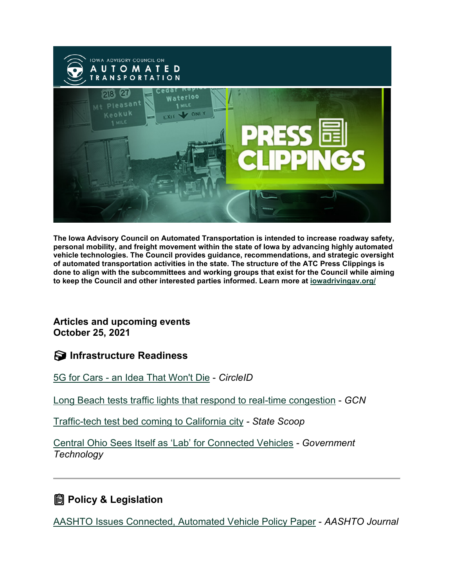

**The Iowa Advisory Council on Automated Transportation is intended to increase roadway safety, personal mobility, and freight movement within the state of Iowa by advancing highly automated vehicle technologies. The Council provides guidance, recommendations, and strategic oversight of automated transportation activities in the state. The structure of the ATC Press Clippings is done to align with the subcommittees and working groups that exist for the Council while aiming to keep the Council and other interested parties informed. Learn more at [iowadrivingav.org/](https://iowadrivingav.org/?utm_medium=email&utm_source=govdelivery)**

**Articles and upcoming events October 25, 2021**

**S** Infrastructure Readiness

5G for Cars - [an Idea That Won't Die](https://circleid.com/posts/20211018-5g-for-cars-an-idea-that-wont-die?utm_medium=email&utm_source=govdelivery) - *CircleID*

[Long Beach tests traffic lights that respond to real-time congestion](https://gcn.com/articles/2021/10/14/long-beach-ai-traffic-signals.aspx?utm_medium=email&utm_source=govdelivery) - *GCN*

[Traffic-tech test bed coming to California city](https://statescoop.com/fremont-california-traffic-technology/?utm_medium=email&utm_source=govdelivery) *- State Scoop*

[Central Ohio Sees Itself as 'Lab' for Connected Vehicles](https://www.govtech.com/fs/central-ohio-sees-itself-as-lab-for-connected-vehicles?utm_medium=email&utm_source=govdelivery) *- Government Technology*

## **Policy & Legislation**

[AASHTO Issues Connected, Automated Vehicle Policy Paper](https://aashtojournal.org/2021/10/14/aashto-issues-connected-automated-vehicle-policy-paper/?utm_medium=email&utm_source=govdelivery) - *AASHTO Journal*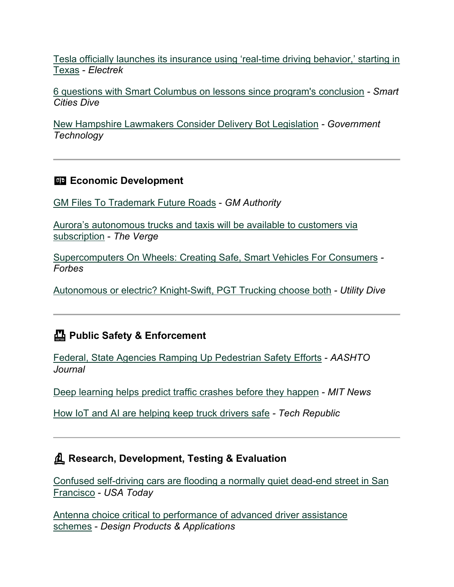[Tesla officially launches its insurance using 'real-time driving behavior,' starting in](https://electrek.co/2021/10/14/tesla-officially-launches-insurance-using-real-time-driving-behavior-texas/?utm_medium=email&utm_source=govdelivery)  [Texas](https://electrek.co/2021/10/14/tesla-officially-launches-insurance-using-real-time-driving-behavior-texas/?utm_medium=email&utm_source=govdelivery) - *Electrek*

[6 questions with Smart Columbus on lessons since program's conclusion](https://www.smartcitiesdive.com/news/smart-columbus-ohio-smart-city-challenge-winner-lessons-learned/607999/?utm_medium=email&utm_source=govdelivery) *- Smart Cities Dive*

[New Hampshire Lawmakers Consider Delivery Bot Legislation](https://www.govtech.com/fs/new-hampshire-lawmakers-consider-delivery-bot-legislation?utm_medium=email&utm_source=govdelivery) *- Government Technology*

### **ED Economic Development**

[GM Files To Trademark Future Roads](https://gmauthority.com/blog/2021/10/gm-files-to-trademark-future-roads/?utm_medium=email&utm_source=govdelivery) - *GM Authority*

[Aurora's autonomous trucks and taxis will be available to customers via](https://www.theverge.com/2021/10/13/22724554/aurora-autonomous-vehicles-subscription-trucks-ride-hailing?utm_medium=email&utm_source=govdelivery)  [subscription](https://www.theverge.com/2021/10/13/22724554/aurora-autonomous-vehicles-subscription-trucks-ride-hailing?utm_medium=email&utm_source=govdelivery) - *The Verge*

[Supercomputers On Wheels: Creating Safe, Smart Vehicles For Consumers](https://www.forbes.com/sites/forbesbusinesscouncil/2021/10/13/supercomputers-on-wheels-creating-safe-smart-vehicles-for-consumers/?sh=66f23af7f5af&utm_medium=email&utm_source=govdelivery) *- Forbes*

[Autonomous or electric? Knight-Swift, PGT Trucking choose both](https://www.utilitydive.com/news/av-ev-knight-swift-pgt-trucking-jb-hunt/608459/?utm_medium=email&utm_source=govdelivery) *- Utility Dive*

### **Public Safety & Enforcement**

[Federal, State Agencies Ramping Up Pedestrian Safety Efforts](https://aashtojournal.org/2021/10/14/federal-state-agencies-ramping-up-pedestrian-safety-efforts/?utm_medium=email&utm_source=govdelivery) - *AASHTO Journal*

[Deep learning helps predict traffic](https://news.mit.edu/2021/deep-learning-helps-predict-traffic-crashes-1012?utm_medium=email&utm_source=govdelivery) crashes before they happen - *MIT News*

[How IoT and AI are helping keep truck drivers safe](https://www.techrepublic.com/article/how-iot-and-ai-are-helping-keep-truck-drivers-safe/?utm_medium=email&utm_source=govdelivery) *- Tech Republic*

### **Research, Development, Testing & Evaluation**

[Confused self-driving cars are flooding a normally quiet dead-end street in San](https://www.usatoday.com/story/tech/2021/10/13/waymo-san-francisco-self-driving-cars-swarm-quiet-dead-end/8441994002/?utm_medium=email&utm_source=govdelivery)  [Francisco](https://www.usatoday.com/story/tech/2021/10/13/waymo-san-francisco-self-driving-cars-swarm-quiet-dead-end/8441994002/?utm_medium=email&utm_source=govdelivery) - *USA Today*

[Antenna choice critical to performance of advanced driver assistance](https://www.dpaonthenet.net/article/187570/Antenna-choice-critical-to-performance-of-advanced-driver-assistance-schemes.aspx?utm_medium=email&utm_source=govdelivery)  [schemes](https://www.dpaonthenet.net/article/187570/Antenna-choice-critical-to-performance-of-advanced-driver-assistance-schemes.aspx?utm_medium=email&utm_source=govdelivery) - *Design Products & Applications*